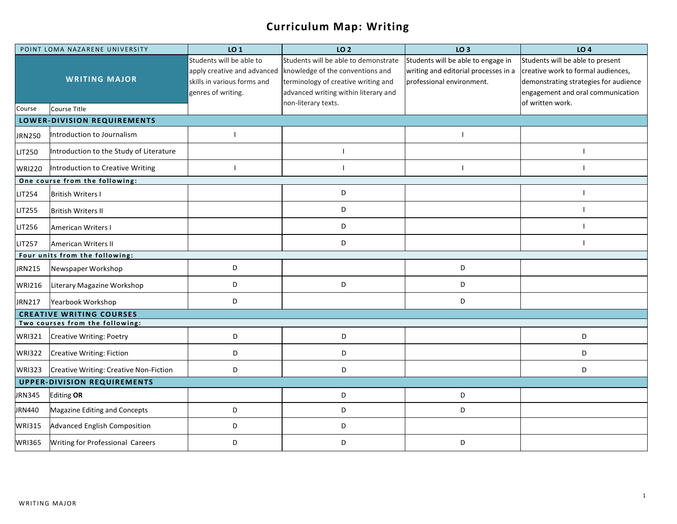## **Curriculum Map: Writing**

| POINT LOMA NAZARENE UNIVERSITY     |                                         | LO <sub>1</sub>                                                                                              | LO <sub>2</sub>                                                                                                                                         | LO <sub>3</sub>                                                                                         | LO <sub>4</sub>                                                                                                                                                          |  |  |  |
|------------------------------------|-----------------------------------------|--------------------------------------------------------------------------------------------------------------|---------------------------------------------------------------------------------------------------------------------------------------------------------|---------------------------------------------------------------------------------------------------------|--------------------------------------------------------------------------------------------------------------------------------------------------------------------------|--|--|--|
|                                    | <b>WRITING MAJOR</b>                    | Students will be able to<br>apply creative and advanced<br>skills in various forms and<br>genres of writing. | Students will be able to demonstrate<br>knowledge of the conventions and<br>terminology of creative writing and<br>advanced writing within literary and | Students will be able to engage in<br>writing and editorial processes in a<br>professional environment. | Students will be able to present<br>creative work to formal audiences,<br>demonstrating strategies for audience<br>engagement and oral communication<br>of written work. |  |  |  |
| Course                             | Course Title                            |                                                                                                              | non-literary texts.                                                                                                                                     |                                                                                                         |                                                                                                                                                                          |  |  |  |
| <b>LOWER-DIVISION REQUIREMENTS</b> |                                         |                                                                                                              |                                                                                                                                                         |                                                                                                         |                                                                                                                                                                          |  |  |  |
| <b>JRN250</b>                      | Introduction to Journalism              |                                                                                                              |                                                                                                                                                         |                                                                                                         |                                                                                                                                                                          |  |  |  |
| LIT250                             | Introduction to the Study of Literature |                                                                                                              | $\overline{1}$                                                                                                                                          |                                                                                                         |                                                                                                                                                                          |  |  |  |
| <b>WRI220</b>                      | Introduction to Creative Writing        |                                                                                                              | $\overline{\phantom{a}}$                                                                                                                                |                                                                                                         |                                                                                                                                                                          |  |  |  |
| One course from the following:     |                                         |                                                                                                              |                                                                                                                                                         |                                                                                                         |                                                                                                                                                                          |  |  |  |
| LIT254                             | <b>British Writers I</b>                |                                                                                                              | D                                                                                                                                                       |                                                                                                         |                                                                                                                                                                          |  |  |  |
| <b>LIT255</b>                      | <b>British Writers II</b>               |                                                                                                              | D                                                                                                                                                       |                                                                                                         |                                                                                                                                                                          |  |  |  |
| LIT256                             | American Writers I                      |                                                                                                              | D                                                                                                                                                       |                                                                                                         |                                                                                                                                                                          |  |  |  |
| <b>LIT257</b>                      | <b>American Writers II</b>              |                                                                                                              | D                                                                                                                                                       |                                                                                                         |                                                                                                                                                                          |  |  |  |
| Four units from the following:     |                                         |                                                                                                              |                                                                                                                                                         |                                                                                                         |                                                                                                                                                                          |  |  |  |
| <b>JRN215</b>                      | Newspaper Workshop                      | D                                                                                                            |                                                                                                                                                         | D                                                                                                       |                                                                                                                                                                          |  |  |  |
| <b>WRI216</b>                      | Literary Magazine Workshop              | D                                                                                                            | D                                                                                                                                                       | D                                                                                                       |                                                                                                                                                                          |  |  |  |
| JRN217                             | Yearbook Workshop                       | D                                                                                                            |                                                                                                                                                         | D                                                                                                       |                                                                                                                                                                          |  |  |  |
| <b>CREATIVE WRITING COURSES</b>    |                                         |                                                                                                              |                                                                                                                                                         |                                                                                                         |                                                                                                                                                                          |  |  |  |
|                                    | Two courses from the following:         |                                                                                                              |                                                                                                                                                         |                                                                                                         |                                                                                                                                                                          |  |  |  |
| <b>WRI321</b>                      | <b>Creative Writing: Poetry</b>         | D                                                                                                            | D                                                                                                                                                       |                                                                                                         | D                                                                                                                                                                        |  |  |  |
| <b>WRI322</b>                      | Creative Writing: Fiction               | D                                                                                                            | D                                                                                                                                                       |                                                                                                         | D                                                                                                                                                                        |  |  |  |
| <b>WRI323</b>                      | Creative Writing: Creative Non-Fiction  | D                                                                                                            | D                                                                                                                                                       |                                                                                                         | D                                                                                                                                                                        |  |  |  |
| <b>UPPER-DIVISION REQUIREMENTS</b> |                                         |                                                                                                              |                                                                                                                                                         |                                                                                                         |                                                                                                                                                                          |  |  |  |
| JRN345                             | <b>Editing OR</b>                       |                                                                                                              | D                                                                                                                                                       | D                                                                                                       |                                                                                                                                                                          |  |  |  |
| JRN440                             | Magazine Editing and Concepts           | D                                                                                                            | $\mathsf D$                                                                                                                                             | D                                                                                                       |                                                                                                                                                                          |  |  |  |
| <b>WRI315</b>                      | <b>Advanced English Composition</b>     | D                                                                                                            | D                                                                                                                                                       |                                                                                                         |                                                                                                                                                                          |  |  |  |
| <b>WRI365</b>                      | <b>Writing for Professional Careers</b> | D                                                                                                            | D                                                                                                                                                       | D                                                                                                       |                                                                                                                                                                          |  |  |  |